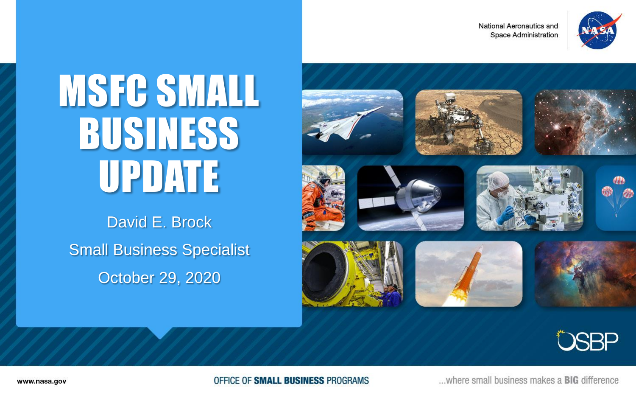National Aeronautics and **Space Administration** 



# **MSFC SMALL** BUSINESS UPDATE

David E. Brock Small Business Specialist October 29, 2020





#### www.nasa.gov

OFFICE OF SMALL BUSINESS PROGRAMS

... where small business makes a **BIG** difference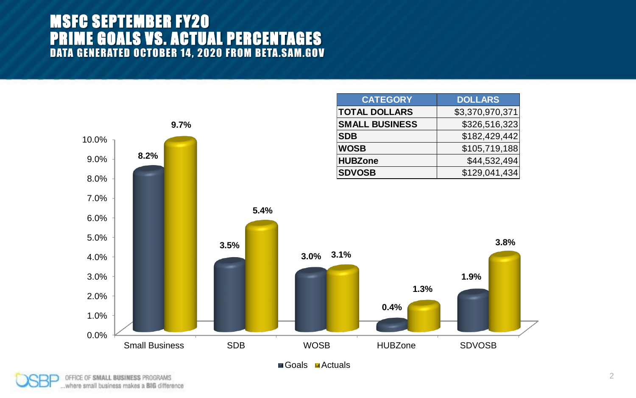#### MSFC SEPTEMBER FY20 PRIME GOALS VS. ACTUAL PERCENTAGES DATA GENERATED OCTOBER 14, 2020 FROM BETA .SAM.GOV



**CATEGORY DOLLARS**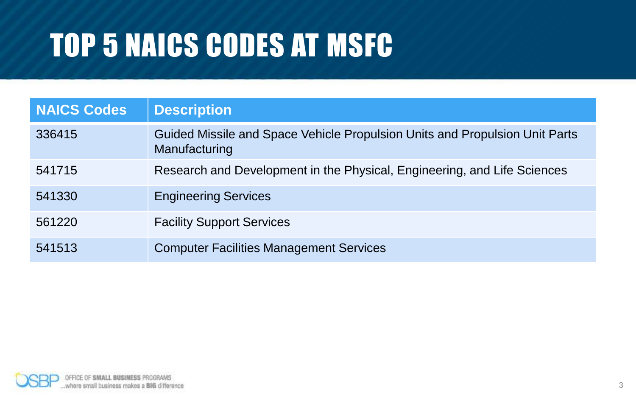## TOP 5 NAICS CODES AT MSFC

| <b>NAICS Codes</b> | <b>Description</b>                                                                           |
|--------------------|----------------------------------------------------------------------------------------------|
| 336415             | Guided Missile and Space Vehicle Propulsion Units and Propulsion Unit Parts<br>Manufacturing |
| 541715             | Research and Development in the Physical, Engineering, and Life Sciences                     |
| 541330             | <b>Engineering Services</b>                                                                  |
| 561220             | <b>Facility Support Services</b>                                                             |
| 541513             | <b>Computer Facilities Management Services</b>                                               |

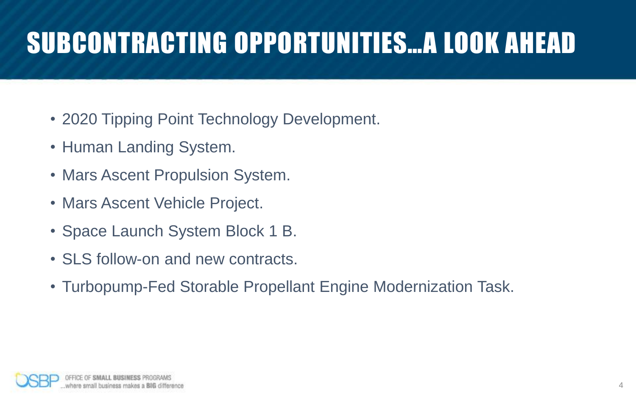#### SUBCONTRACTING OPPORTUNITIES…A LOOK AHEAD

- 2020 Tipping Point Technology Development.
- Human Landing System.
- Mars Ascent Propulsion System.
- Mars Ascent Vehicle Project.
- Space Launch System Block 1 B.
- SLS follow-on and new contracts.
- Turbopump-Fed Storable Propellant Engine Modernization Task.

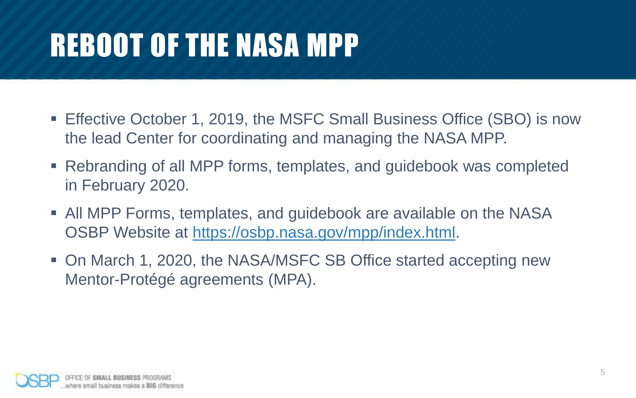## REBOOT OF THE NASA MPP

- Effective October 1, 2019, the MSFC Small Business Office (SBO) is now the lead Center for coordinating and managing the NASA MPP.
- Rebranding of all MPP forms, templates, and guidebook was completed in February 2020.
- All MPP Forms, templates, and guidebook are available on the NASA OSBP Website at [https://osbp.nasa.gov/mpp/index.html.](https://osbp.nasa.gov/mpp/index.html)
- On March 1, 2020, the NASA/MSFC SB Office started accepting new Mentor-Protégé agreements (MPA).

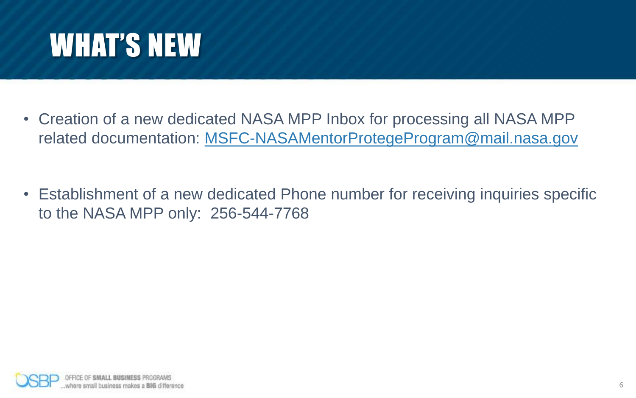### WHAT'S NEW

- Creation of a new dedicated NASA MPP Inbox for processing all NASA MPP related documentation: [MSFC-NASAMentorProtegeProgram@mail.nasa.gov](mailto:MSFC-NASAMentorProtegeProgram@mail.nasa.gov)
- Establishment of a new dedicated Phone number for receiving inquiries specific to the NASA MPP only: 256-544-7768

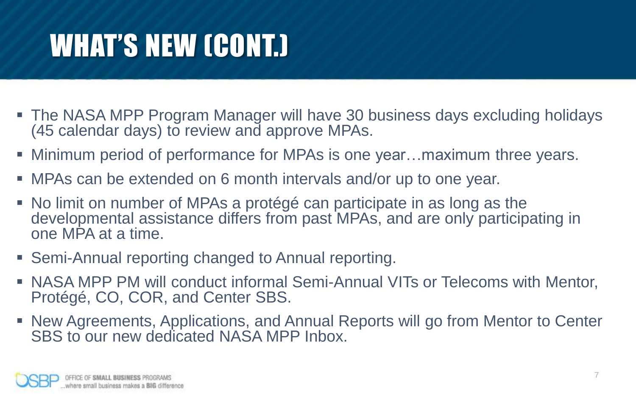## WHAT'S NEW (CONT.)

- The NASA MPP Program Manager will have 30 business days excluding holidays (45 calendar days) to review and approve MPAs.
- Minimum period of performance for MPAs is one year...maximum three years.
- MPAs can be extended on 6 month intervals and/or up to one year.
- No limit on number of MPAs a protégé can participate in as long as the developmental assistance differs from past MPAs, and are only participating in one MPA at a time.
- Semi-Annual reporting changed to Annual reporting.
- NASA MPP PM will conduct informal Semi-Annual VITs or Telecoms with Mentor, Protégé, CO, COR, and Center SBS.
- New Agreements, Applications, and Annual Reports will go from Mentor to Center SBS to our new dedicated NASA MPP Inbox.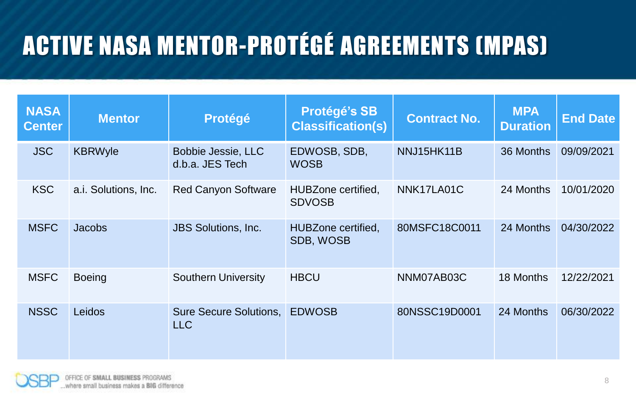#### ACTIVE NASA MENTOR-PROTÉGÉ AGREEMENTS (MPAS)

| <b>NASA</b><br><b>Center</b> | <b>Mentor</b>        | Protégé                               | <b>Protégé's SB</b><br><b>Classification(s)</b> | <b>Contract No.</b> | <b>MPA</b><br><b>Duration</b> | <b>End Date</b> |
|------------------------------|----------------------|---------------------------------------|-------------------------------------------------|---------------------|-------------------------------|-----------------|
| <b>JSC</b>                   | <b>KBRWyle</b>       | Bobbie Jessie, LLC<br>d.b.a. JES Tech | EDWOSB, SDB,<br><b>WOSB</b>                     | NNJ15HK11B          | 36 Months                     | 09/09/2021      |
| <b>KSC</b>                   | a.i. Solutions, Inc. | <b>Red Canyon Software</b>            | HUBZone certified,<br><b>SDVOSB</b>             | NNK17LA01C          | 24 Months                     | 10/01/2020      |
| <b>MSFC</b>                  | <b>Jacobs</b>        | <b>JBS Solutions, Inc.</b>            | HUBZone certified,<br>SDB, WOSB                 | 80MSFC18C0011       | 24 Months                     | 04/30/2022      |
| <b>MSFC</b>                  | <b>Boeing</b>        | <b>Southern University</b>            | <b>HBCU</b>                                     | NNM07AB03C          | 18 Months                     | 12/22/2021      |
| <b>NSSC</b>                  | Leidos               | <b>Sure Secure Solutions,</b><br>LLC. | <b>EDWOSB</b>                                   | 80NSSC19D0001       | 24 Months                     | 06/30/2022      |

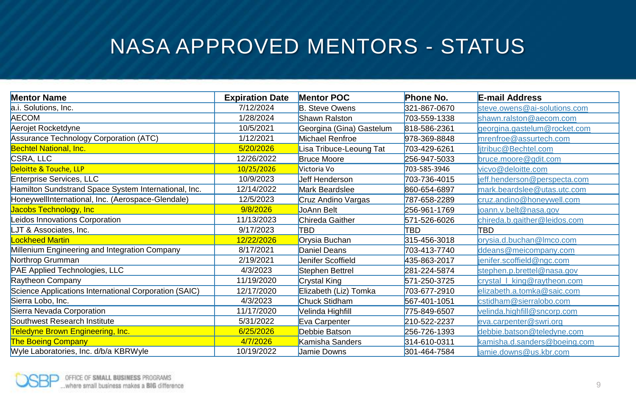#### NASA APPROVED MENTORS - STATUS

| <b>Mentor Name</b>                                    | <b>Expiration Date</b> | <b>Mentor POC</b>        | Phone No.    | <b>E-mail Address</b>        |
|-------------------------------------------------------|------------------------|--------------------------|--------------|------------------------------|
| a.i. Solutions, Inc.                                  | 7/12/2024              | <b>B.</b> Steve Owens    | 321-867-0670 | steve.owens@ai-solutions.com |
| <b>AECOM</b>                                          | 1/28/2024              | Shawn Ralston            | 703-559-1338 | shawn.ralston@aecom.com      |
| Aerojet Rocketdyne                                    | 10/5/2021              | Georgina (Gina) Gastelum | 818-586-2361 | georgina.gastelum@rocket.com |
| Assurance Technology Corporation (ATC)                | 1/12/2021              | Michael Renfroe          | 978-369-8848 | mrenfroe@assurtech.com       |
| <b>Bechtel National, Inc.</b>                         | 5/20/2026              | Lisa Tribuce-Leoung Tat  | 703-429-6261 | ljtribuc@Bechtel.com         |
| CSRA, LLC                                             | 12/26/2022             | <b>Bruce Moore</b>       | 256-947-5033 | bruce.moore@gdit.com         |
| Deloitte & Touche, LLP                                | 10/25/2026             | Victoria Vo              | 703-585-3946 | vicvo@deloitte.com           |
| Enterprise Services, LLC                              | 10/9/2023              | Jeff Henderson           | 703-736-4015 | eff.henderson@perspecta.com  |
| Hamilton Sundstrand Space System International, Inc.  | 12/14/2022             | Mark Beardslee           | 860-654-6897 | mark.beardslee@utas.utc.com  |
| HoneywellInternational, Inc. (Aerospace-Glendale)     | 12/5/2023              | Cruz Andino Vargas       | 787-658-2289 | cruz.andino@honeywell.com    |
| <mark>Jacobs Technology, Inc</mark>                   | 9/8/2026               | JoAnn Belt               | 256-961-1769 | joann.v.belt@nasa.gov        |
| eidos Innovations Corporation                         | 11/13/2023             | Chireda Gaither          | 571-526-6026 | chireda.b.gaither@leidos.com |
| LJT & Associates, Inc.                                | 9/17/2023              | TBD                      | <b>TBD</b>   | TBD                          |
| Lockheed Martin                                       | 12/22/2026             | Orysia Buchan            | 315-456-3018 | orysia.d.buchan@Imco.com     |
| Millenium Engineering and Integration Company         | 8/17/2021              | Daniel Deans             | 703-413-7740 | ddeans@meicompany.com        |
| Northrop Grumman                                      | 2/19/2021              | Jenifer Scoffield        | 435-863-2017 | jenifer.scoffield@ngc.com    |
| PAE Applied Technologies, LLC                         | 4/3/2023               | Stephen Bettrel          | 281-224-5874 | stephen.p.brettel@nasa.gov   |
| Raytheon Company                                      | 11/19/2020             | Crystal King             | 571-250-3725 | crystal   king@raytheon.com  |
| Science Applications International Corporation (SAIC) | 12/17/2020             | Elizabeth (Liz) Tomka    | 703-677-2910 | elizabeth.a.tomka@saic.com   |
| Sierra Lobo, Inc.                                     | 4/3/2023               | Chuck Stidham            | 567-401-1051 | cstidham@sierralobo.com      |
| Sierra Nevada Corporation                             | 11/17/2020             | Velinda Highfill         | 775-849-6507 | velinda.highfill@sncorp.com  |
| Southwest Research Institute                          | 5/31/2022              | Eva Carpenter            | 210-522-2237 | eva.carpenter@swri.org       |
| <b>Teledyne Brown Engineering, Inc.</b>               | 6/25/2026              | Debbie Batson            | 256-726-1393 | debbie.batson@teledyne.com   |
| <b>The Boeing Company</b>                             | 4/7/2026               | Kamisha Sanders          | 314-610-0311 | kamisha.d.sanders@boeing.com |
| Wyle Laboratories, Inc. d/b/a KBRWyle                 | 10/19/2022             | Jamie Downs              | 301-464-7584 | jamie.downs@us.kbr.com       |